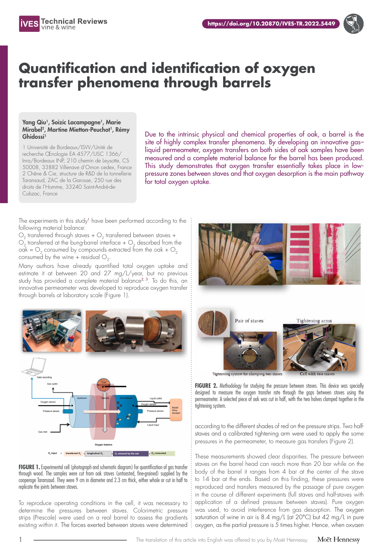

## **Quantification and identification of oxygen transfer phenomena through barrels**

## Yang Qiu<sup>1</sup>, Soizic Lacampagne<sup>1</sup>, Marie Mirabel<sup>2</sup>, Martine Mietton-Peuchot<sup>1</sup>, Rémy Ghidossi<sup>1</sup>

1 Université de Bordeaux/ISVV/Unité de recherche Œnologie EA 4577/USC 1366/ Inra/Bordeaux INP, 210 chemin de Leysotte, CS 50008, 33882 Villenave d'Ornon cedex, France 2 Chêne & Cie, structure de R&D de la tonnellerie Taransaud, ZAC de la Garosse, 250 rue des droits de l'Homme, 33240 Saint-André-de-Cubzac, France

Due to the intrinsic physical and chemical properties of oak, a barrel is the site of highly complex transfer phenomena. By developing an innovative gas– liquid permeameter, oxygen transfers on both sides of oak samples have been measured and a complete material balance for the barrel has been produced. This study demonstrates that oxygen transfer essentially takes place in lowpressure zones between staves and that oxygen desorption is the main pathway for total oxygen uptake.

The experiments in this study<sup>1</sup> have been performed according to the following material balance:

 $O<sub>2</sub>$  transferred through staves +  $O<sub>2</sub>$  transferred between staves +  $O<sub>2</sub>$  transferred at the bung-barrel interface +  $O<sub>2</sub>$  desorbed from the  $oak = O<sub>2</sub>$  consumed by compounds extracted from the oak +  $O<sub>2</sub>$ consumed by the wine + residual  $O<sub>2</sub>$ .

Many authors have already quantified total oxygen uptake and estimate it at between 20 and 27 mg/L/year, but no previous study has provided a complete material balance<sup>2, 3</sup>. To do this, an innovative permeameter was developed to reproduce oxygen transfer through barrels at laboratory scale (Figure 1).



**FIGURE 1.** Experimental cell (photograph and schematic diagram) for quantification of gas transfer through wood. The samples were cut from oak staves (untoasted, fine-grained) supplied by the cooperage Taransaud. They were 9 cm in diameter and 2.3 cm thick, either whole or cut in half to replicate the joints between staves.

To reproduce operating conditions in the cell, it was necessary to determine the pressures between staves. Colorimetric pressure strips (Prescale) were used on a real barrel to assess the gradients existing within it. The forces exerted between staves were determined



FIGURE 2. Methodology for studying the pressure between staves. This device was specially designed to measure the oxygen transfer rate through the gaps between staves using the permeameter. A selected piece of oak was cut in half, with the two halves clamped together in the tightening system.

according to the different shades of red on the pressure strips. Two halfstaves and a calibrated tightening arm were used to apply the same pressures in the permeameter, to measure gas transfers (Figure 2).

These measurements showed clear disparities. The pressure between staves on the barrel head can reach more than 20 bar while on the body of the barrel it ranges from 4 bar at the center of the stave to 14 bar at the ends. Based on this finding, these pressures were reproduced and transfers measured by the passage of pure oxygen in the course of different experiments (full staves and half-staves with application of a defined pressure between staves). Pure oxygen was used, to avoid interference from gas desorption. The oxygen saturation of wine in air is 8.4 mg/L (at 20°C) but 42 mg/L in pure oxygen, as the partial pressure is 5 times higher. Hence, when oxygen